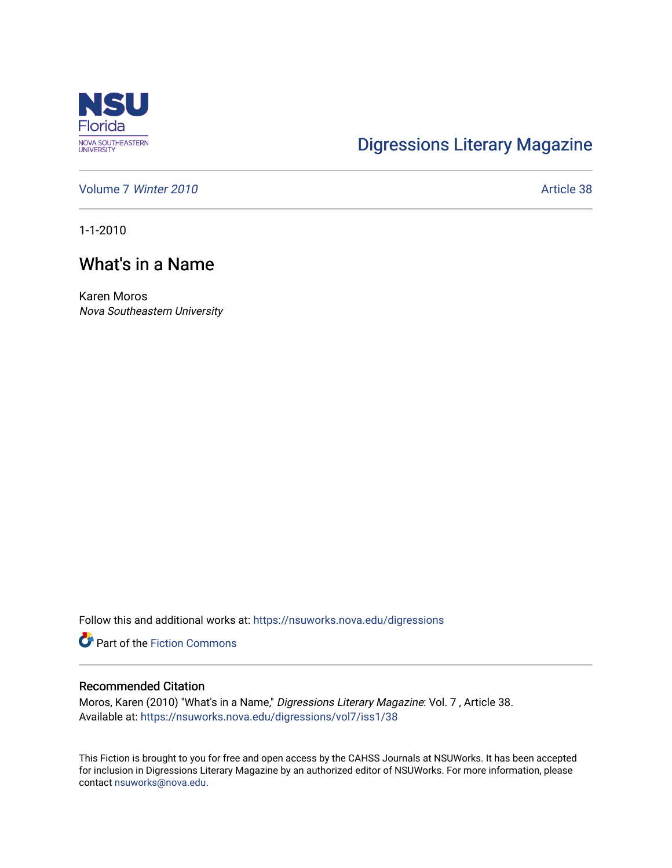

## [Digressions Literary Magazine](https://nsuworks.nova.edu/digressions)

[Volume 7](https://nsuworks.nova.edu/digressions/vol7) Winter 2010 **Article 38** 

1-1-2010

## What's in a Name

Karen Moros Nova Southeastern University

Follow this and additional works at: [https://nsuworks.nova.edu/digressions](https://nsuworks.nova.edu/digressions?utm_source=nsuworks.nova.edu%2Fdigressions%2Fvol7%2Fiss1%2F38&utm_medium=PDF&utm_campaign=PDFCoverPages) 

**Part of the Fiction Commons** 

## Recommended Citation

Moros, Karen (2010) "What's in a Name," Digressions Literary Magazine: Vol. 7 , Article 38. Available at: [https://nsuworks.nova.edu/digressions/vol7/iss1/38](https://nsuworks.nova.edu/digressions/vol7/iss1/38?utm_source=nsuworks.nova.edu%2Fdigressions%2Fvol7%2Fiss1%2F38&utm_medium=PDF&utm_campaign=PDFCoverPages) 

This Fiction is brought to you for free and open access by the CAHSS Journals at NSUWorks. It has been accepted for inclusion in Digressions Literary Magazine by an authorized editor of NSUWorks. For more information, please contact [nsuworks@nova.edu.](mailto:nsuworks@nova.edu)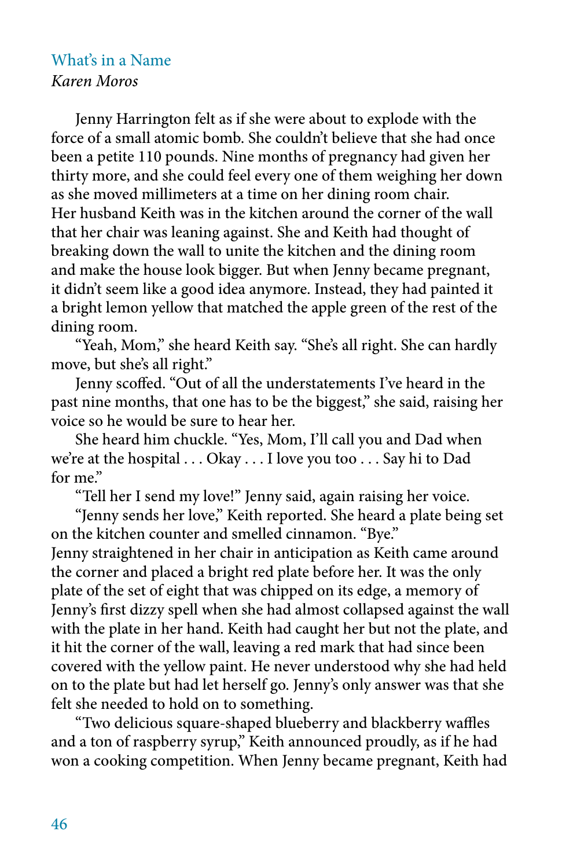## What's in a Name *Karen Moros*

Jenny Harrington felt as if she were about to explode with the force of a small atomic bomb. She couldn't believe that she had once been a petite 110 pounds. Nine months of pregnancy had given her thirty more, and she could feel every one of them weighing her down as she moved millimeters at a time on her dining room chair. Her husband Keith was in the kitchen around the corner of the wall that her chair was leaning against. She and Keith had thought of breaking down the wall to unite the kitchen and the dining room and make the house look bigger. But when Jenny became pregnant, it didn't seem like a good idea anymore. Instead, they had painted it a bright lemon yellow that matched the apple green of the rest of the dining room.

"Yeah, Mom," she heard Keith say. "She's all right. She can hardly move, but she's all right."

Jenny scoffed. "Out of all the understatements I've heard in the past nine months, that one has to be the biggest," she said, raising her voice so he would be sure to hear her.

She heard him chuckle. "Yes, Mom, I'll call you and Dad when we're at the hospital . . . Okay . . . I love you too . . . Say hi to Dad for me."

"Tell her I send my love!" Jenny said, again raising her voice.

"Jenny sends her love," Keith reported. She heard a plate being set on the kitchen counter and smelled cinnamon. "Bye." Jenny straightened in her chair in anticipation as Keith came around the corner and placed a bright red plate before her. It was the only plate of the set of eight that was chipped on its edge, a memory of Jenny's first dizzy spell when she had almost collapsed against the wall with the plate in her hand. Keith had caught her but not the plate, and it hit the corner of the wall, leaving a red mark that had since been covered with the yellow paint. He never understood why she had held on to the plate but had let herself go. Jenny's only answer was that she felt she needed to hold on to something.

"Two delicious square-shaped blueberry and blackberry waffles and a ton of raspberry syrup," Keith announced proudly, as if he had won a cooking competition. When Jenny became pregnant, Keith had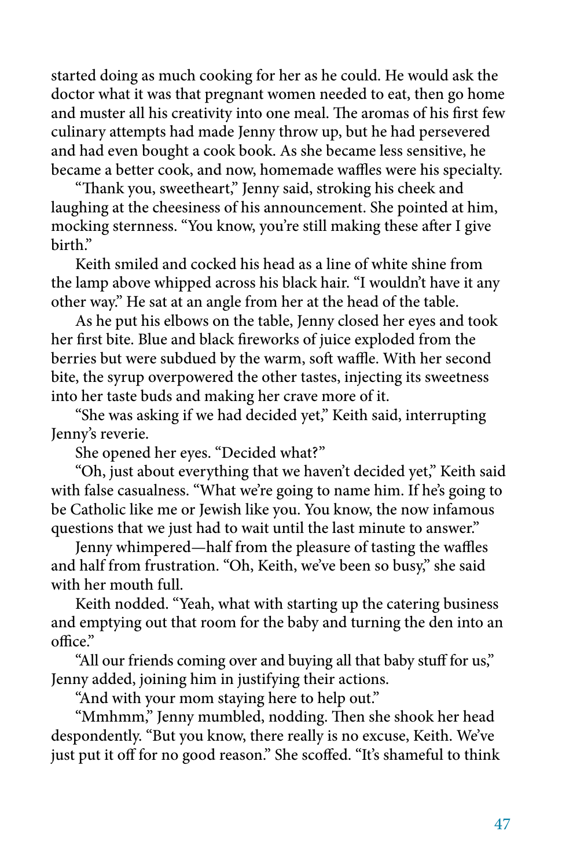started doing as much cooking for her as he could. He would ask the doctor what it was that pregnant women needed to eat, then go home and muster all his creativity into one meal. The aromas of his first few culinary attempts had made Jenny throw up, but he had persevered and had even bought a cook book. As she became less sensitive, he became a better cook, and now, homemade waffles were his specialty.

"Thank you, sweetheart," Jenny said, stroking his cheek and laughing at the cheesiness of his announcement. She pointed at him, mocking sternness. "You know, you're still making these after I give hirth"

Keith smiled and cocked his head as a line of white shine from the lamp above whipped across his black hair. "I wouldn't have it any other way." He sat at an angle from her at the head of the table.

As he put his elbows on the table, Jenny closed her eyes and took her first bite. Blue and black fireworks of juice exploded from the berries but were subdued by the warm, soft waffle. With her second bite, the syrup overpowered the other tastes, injecting its sweetness into her taste buds and making her crave more of it.

"She was asking if we had decided yet," Keith said, interrupting Jenny's reverie.

She opened her eyes. "Decided what?"

"Oh, just about everything that we haven't decided yet," Keith said with false casualness. "What we're going to name him. If he's going to be Catholic like me or Jewish like you. You know, the now infamous questions that we just had to wait until the last minute to answer."

Jenny whimpered—half from the pleasure of tasting the waffles and half from frustration. "Oh, Keith, we've been so busy," she said with her mouth full.

Keith nodded. "Yeah, what with starting up the catering business and emptying out that room for the baby and turning the den into an office."

"All our friends coming over and buying all that baby stuff for us," Jenny added, joining him in justifying their actions.

"And with your mom staying here to help out."

"Mmhmm," Jenny mumbled, nodding. Then she shook her head despondently. "But you know, there really is no excuse, Keith. We've just put it off for no good reason." She scoffed. "It's shameful to think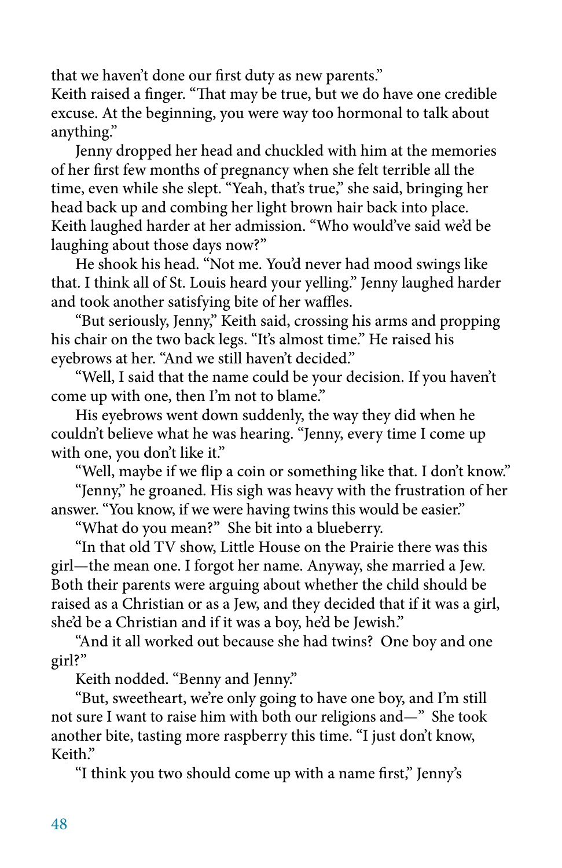that we haven't done our first duty as new parents."

Keith raised a finger. "That may be true, but we do have one credible excuse. At the beginning, you were way too hormonal to talk about anything."

Jenny dropped her head and chuckled with him at the memories of her first few months of pregnancy when she felt terrible all the time, even while she slept. "Yeah, that's true," she said, bringing her head back up and combing her light brown hair back into place. Keith laughed harder at her admission. "Who would've said we'd be laughing about those days now?"

He shook his head. "Not me. You'd never had mood swings like that. I think all of St. Louis heard your yelling." Jenny laughed harder and took another satisfying bite of her waffles.

"But seriously, Jenny," Keith said, crossing his arms and propping his chair on the two back legs. "It's almost time." He raised his eyebrows at her. "And we still haven't decided."

"Well, I said that the name could be your decision. If you haven't come up with one, then I'm not to blame."

His eyebrows went down suddenly, the way they did when he couldn't believe what he was hearing. "Jenny, every time I come up with one, you don't like it."

"Well, maybe if we flip a coin or something like that. I don't know."

"Jenny," he groaned. His sigh was heavy with the frustration of her answer. "You know, if we were having twins this would be easier."

"What do you mean?" She bit into a blueberry.

"In that old TV show, Little House on the Prairie there was this girl—the mean one. I forgot her name. Anyway, she married a Jew. Both their parents were arguing about whether the child should be raised as a Christian or as a Jew, and they decided that if it was a girl, she'd be a Christian and if it was a boy, he'd be Jewish."

"And it all worked out because she had twins? One boy and one girl?"

Keith nodded. "Benny and Jenny."

"But, sweetheart, we're only going to have one boy, and I'm still not sure I want to raise him with both our religions and—" She took another bite, tasting more raspberry this time. "I just don't know, Keith."

"I think you two should come up with a name first," Jenny's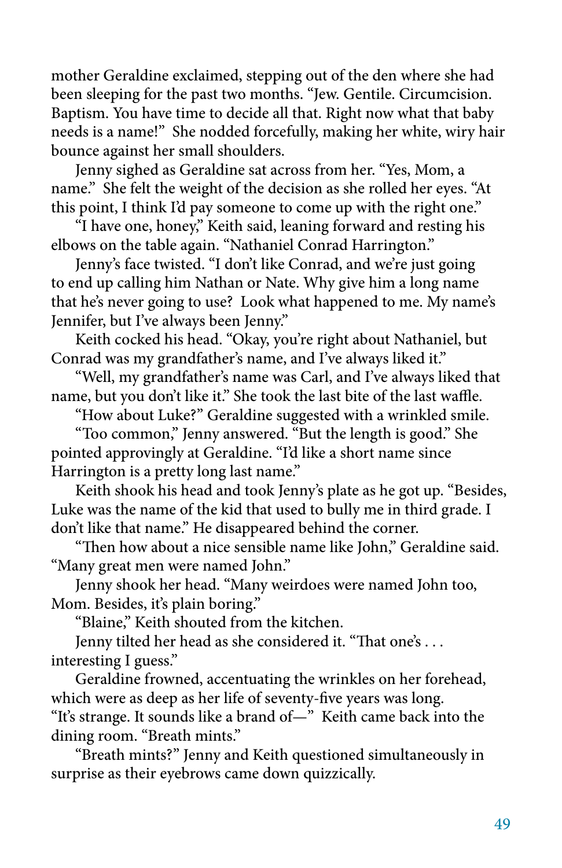mother Geraldine exclaimed, stepping out of the den where she had been sleeping for the past two months. "Jew. Gentile. Circumcision. Baptism. You have time to decide all that. Right now what that baby needs is a name!" She nodded forcefully, making her white, wiry hair bounce against her small shoulders.

Jenny sighed as Geraldine sat across from her. "Yes, Mom, a name." She felt the weight of the decision as she rolled her eyes. "At this point, I think I'd pay someone to come up with the right one."

"I have one, honey," Keith said, leaning forward and resting his elbows on the table again. "Nathaniel Conrad Harrington."

Jenny's face twisted. "I don't like Conrad, and we're just going to end up calling him Nathan or Nate. Why give him a long name that he's never going to use? Look what happened to me. My name's Jennifer, but I've always been Jenny."

Keith cocked his head. "Okay, you're right about Nathaniel, but Conrad was my grandfather's name, and I've always liked it."

"Well, my grandfather's name was Carl, and I've always liked that name, but you don't like it." She took the last bite of the last waffle.

"How about Luke?" Geraldine suggested with a wrinkled smile.

"Too common," Jenny answered. "But the length is good." She pointed approvingly at Geraldine. "I'd like a short name since Harrington is a pretty long last name."

Keith shook his head and took Jenny's plate as he got up. "Besides, Luke was the name of the kid that used to bully me in third grade. I don't like that name." He disappeared behind the corner.

"Then how about a nice sensible name like John," Geraldine said. "Many great men were named John."

Jenny shook her head. "Many weirdoes were named John too, Mom. Besides, it's plain boring."

"Blaine," Keith shouted from the kitchen.

Jenny tilted her head as she considered it. "That one's . . . interesting I guess."

Geraldine frowned, accentuating the wrinkles on her forehead, which were as deep as her life of seventy-five years was long.

"It's strange. It sounds like a brand of—" Keith came back into the dining room. "Breath mints."

"Breath mints?" Jenny and Keith questioned simultaneously in surprise as their eyebrows came down quizzically.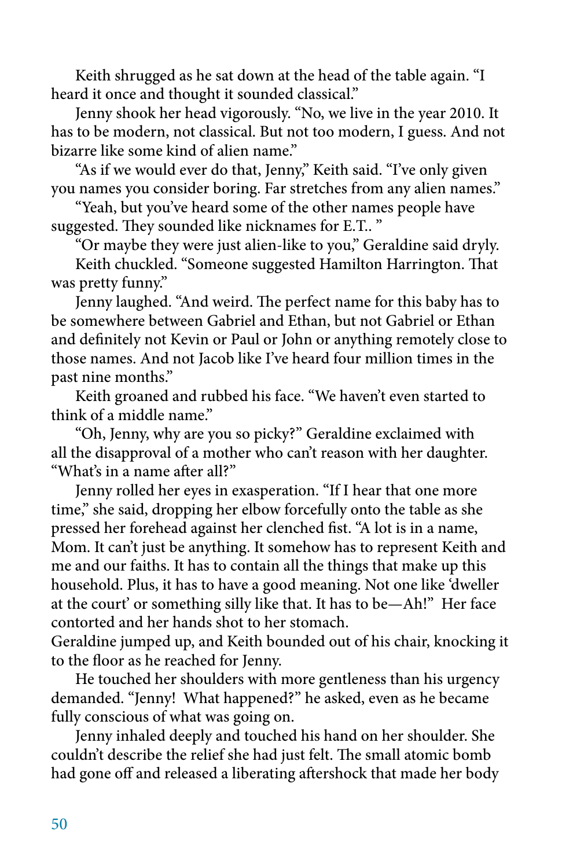Keith shrugged as he sat down at the head of the table again. "I heard it once and thought it sounded classical."

Jenny shook her head vigorously. "No, we live in the year 2010. It has to be modern, not classical. But not too modern, I guess. And not bizarre like some kind of alien name."

"As if we would ever do that, Jenny," Keith said. "I've only given you names you consider boring. Far stretches from any alien names."

"Yeah, but you've heard some of the other names people have suggested. They sounded like nicknames for E.T.. "

"Or maybe they were just alien-like to you," Geraldine said dryly.

Keith chuckled. "Someone suggested Hamilton Harrington. That was pretty funny."

Jenny laughed. "And weird. The perfect name for this baby has to be somewhere between Gabriel and Ethan, but not Gabriel or Ethan and definitely not Kevin or Paul or John or anything remotely close to those names. And not Jacob like I've heard four million times in the past nine months."

Keith groaned and rubbed his face. "We haven't even started to think of a middle name."

"Oh, Jenny, why are you so picky?" Geraldine exclaimed with all the disapproval of a mother who can't reason with her daughter. "What's in a name after all?"

Jenny rolled her eyes in exasperation. "If I hear that one more time," she said, dropping her elbow forcefully onto the table as she pressed her forehead against her clenched fist. "A lot is in a name, Mom. It can't just be anything. It somehow has to represent Keith and me and our faiths. It has to contain all the things that make up this household. Plus, it has to have a good meaning. Not one like 'dweller at the court' or something silly like that. It has to be—Ah!" Her face contorted and her hands shot to her stomach.

Geraldine jumped up, and Keith bounded out of his chair, knocking it to the floor as he reached for Jenny.

He touched her shoulders with more gentleness than his urgency demanded. "Jenny! What happened?" he asked, even as he became fully conscious of what was going on.

Jenny inhaled deeply and touched his hand on her shoulder. She couldn't describe the relief she had just felt. The small atomic bomb had gone off and released a liberating aftershock that made her body